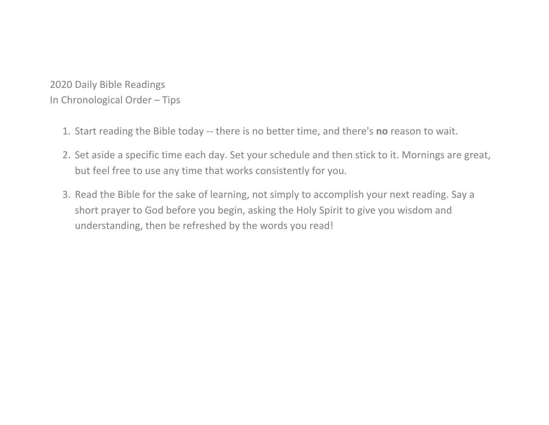2020 Daily Bible Readings In Chronological Order – Tips

- 1. Start reading the Bible today -- there is no better time, and there's **no** reason to wait.
- 2. Set aside a specific time each day. Set your schedule and then stick to it. Mornings are great, but feel free to use any time that works consistently for you.
- 3. Read the Bible for the sake of learning, not simply to accomplish your next reading. Say a short prayer to God before you begin, asking the Holy Spirit to give you wisdom and understanding, then be refreshed by the words you read!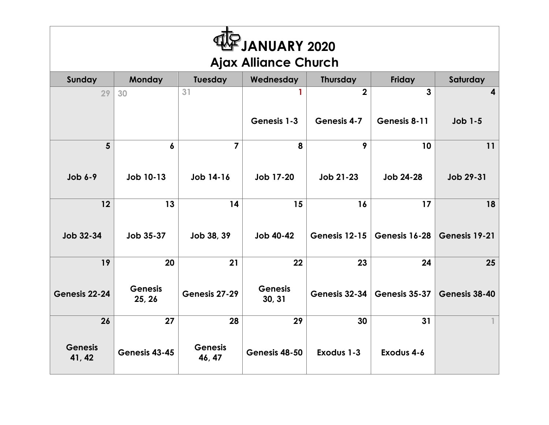| L<br>JANUARY 2020<br><b>Ajax Alliance Church</b> |                      |                          |                      |                    |               |                |  |  |  |
|--------------------------------------------------|----------------------|--------------------------|----------------------|--------------------|---------------|----------------|--|--|--|
| Sunday                                           | Monday               | Tuesday                  | Wednesday            | <b>Thursday</b>    | Friday        | Saturday       |  |  |  |
| 29                                               | 30                   | 31                       | 1                    | $\overline{2}$     | 3             | 4              |  |  |  |
|                                                  |                      |                          | Genesis 1-3          | <b>Genesis 4-7</b> | Genesis 8-11  | <b>Job 1-5</b> |  |  |  |
| 5                                                | 6                    | $\overline{7}$           | 8                    | 9                  | 10            | 11             |  |  |  |
| $Job 6-9$                                        | Job 10-13            | Job 14-16                | Job 17-20            | Job 21-23          | Job 24-28     | Job 29-31      |  |  |  |
| 12                                               | 13                   | 14                       | 15                   | 16                 | 17            | 18             |  |  |  |
| Job 32-34                                        | Job 35-37            | Job 38, 39               | Job 40-42            | Genesis 12-15      | Genesis 16-28 | Genesis 19-21  |  |  |  |
| 19                                               | 20<br><b>Genesis</b> | 21                       | 22<br><b>Genesis</b> | 23                 | 24            | 25             |  |  |  |
| Genesis 22-24                                    | 25, 26               | Genesis 27-29            | 30, 31               | Genesis 32-34      | Genesis 35-37 | Genesis 38-40  |  |  |  |
| 26                                               | 27                   | 28                       | 29                   | 30                 | 31            |                |  |  |  |
| <b>Genesis</b><br>41, 42                         | Genesis 43-45        | <b>Genesis</b><br>46, 47 | Genesis 48-50        | Exodus 1-3         | Exodus 4-6    |                |  |  |  |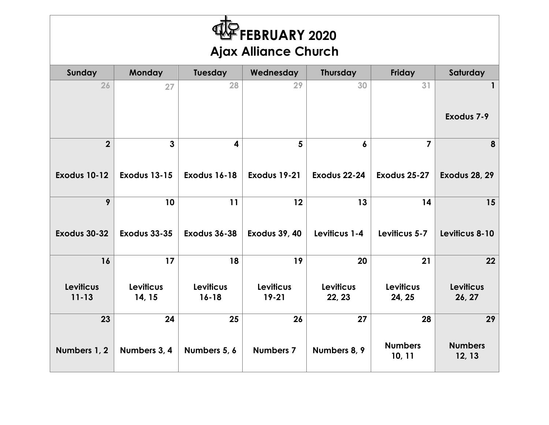| FEBRUARY 2020<br><b>Ajax Alliance Church</b> |                            |                               |                               |                            |                            |                            |  |  |
|----------------------------------------------|----------------------------|-------------------------------|-------------------------------|----------------------------|----------------------------|----------------------------|--|--|
| Sunday                                       | Monday                     | Tuesday                       | Wednesday                     | <b>Thursday</b>            | Friday                     | Saturday                   |  |  |
| 26                                           | 27                         | 28                            | 29                            | 30                         | 31                         | $\mathbf{1}$               |  |  |
|                                              |                            |                               |                               |                            |                            | Exodus 7-9                 |  |  |
| $\overline{2}$                               | $\overline{3}$             | 4                             | 5                             | 6                          | $\overline{7}$             | 8                          |  |  |
| <b>Exodus 10-12</b>                          | <b>Exodus 13-15</b>        | <b>Exodus 16-18</b>           | Exodus 19-21                  | Exodus 22-24               | Exodus 25-27               | <b>Exodus 28, 29</b>       |  |  |
| 9                                            | 10                         | 11                            | 12                            | 13                         | 14                         | 15                         |  |  |
| Exodus 30-32                                 | <b>Exodus 33-35</b>        | Exodus 36-38                  | <b>Exodus 39, 40</b>          | Leviticus 1-4              | Leviticus 5-7              | Leviticus 8-10             |  |  |
| 16                                           | 17                         | 18                            | 19                            | 20                         | 21                         | 22                         |  |  |
| <b>Leviticus</b><br>$11 - 13$                | <b>Leviticus</b><br>14, 15 | <b>Leviticus</b><br>$16 - 18$ | <b>Leviticus</b><br>$19 - 21$ | <b>Leviticus</b><br>22, 23 | <b>Leviticus</b><br>24, 25 | <b>Leviticus</b><br>26, 27 |  |  |
| 23                                           | 24                         | 25                            | 26                            | 27                         | 28                         | 29                         |  |  |
| Numbers 1, 2                                 | Numbers 3, 4               | Numbers 5, 6                  | <b>Numbers 7</b>              | Numbers 8, 9               | <b>Numbers</b><br>10, 11   | <b>Numbers</b><br>12, 13   |  |  |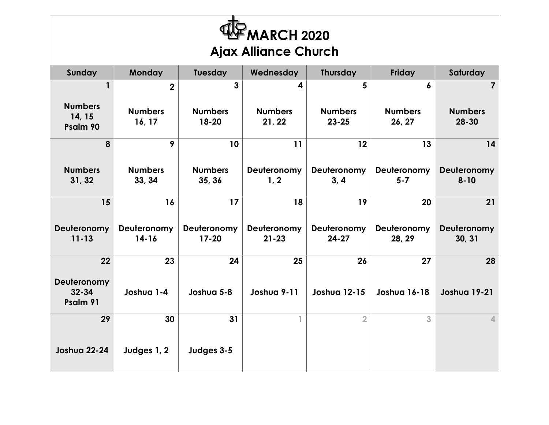| <b>MARCH 2020</b><br><b>Ajax Alliance Church</b> |                          |                          |                          |                             |                          |                         |  |  |
|--------------------------------------------------|--------------------------|--------------------------|--------------------------|-----------------------------|--------------------------|-------------------------|--|--|
| <b>Sunday</b>                                    | Monday                   | <b>Tuesday</b>           | Wednesday                | <b>Thursday</b>             | <b>Friday</b>            | Saturday                |  |  |
| $\mathbf{1}$                                     | $\overline{2}$           | 3                        | 4                        | 5                           | 6                        | $\overline{\mathbf{z}}$ |  |  |
| <b>Numbers</b><br>14, 15<br>Psalm 90             | <b>Numbers</b><br>16, 17 | <b>Numbers</b><br>18-20  | <b>Numbers</b><br>21, 22 | <b>Numbers</b><br>$23 - 25$ | <b>Numbers</b><br>26, 27 | <b>Numbers</b><br>28-30 |  |  |
| 8                                                | 9                        | 10                       | 11                       | 12                          | 13                       | 14                      |  |  |
| <b>Numbers</b><br>31, 32                         | <b>Numbers</b><br>33, 34 | <b>Numbers</b><br>35, 36 | Deuteronomy<br>1, 2      | Deuteronomy<br>3, 4         | Deuteronomy<br>$5 - 7$   | Deuteronomy<br>$8 - 10$ |  |  |
| 15                                               | 16                       | 17                       | 18                       | 19                          | 20                       | 21                      |  |  |
| Deuteronomy<br>$11 - 13$                         | Deuteronomy<br>$14 - 16$ | Deuteronomy<br>$17 - 20$ | Deuteronomy<br>$21 - 23$ | Deuteronomy<br>$24 - 27$    | Deuteronomy<br>28, 29    | Deuteronomy<br>30, 31   |  |  |
| 22                                               | 23                       | 24                       | 25                       | 26                          | 27                       | 28                      |  |  |
| Deuteronomy<br>$32 - 34$<br>Psalm 91             | Joshua 1-4               | Joshua 5-8               | Joshua 9-11              | <b>Joshua 12-15</b>         | Joshua 16-18             | Joshua 19-21            |  |  |
| 29                                               | 30                       | 31                       |                          | $\overline{2}$              | 3                        | 4                       |  |  |
| <b>Joshua 22-24</b>                              | Judges 1, 2              | Judges 3-5               |                          |                             |                          |                         |  |  |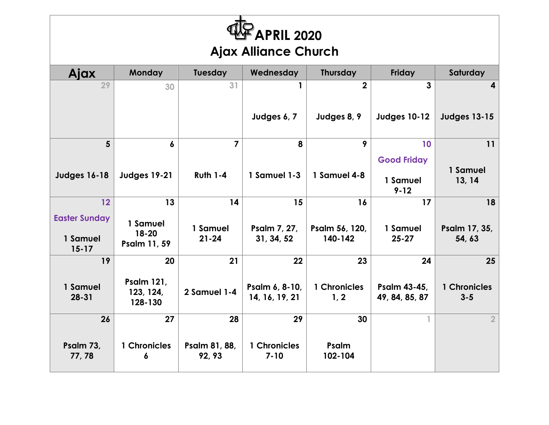| APRIL 2020 <sup></sup><br><b>Ajax Alliance Church</b> |                                           |                         |                                  |                           |                                            |                         |  |  |
|-------------------------------------------------------|-------------------------------------------|-------------------------|----------------------------------|---------------------------|--------------------------------------------|-------------------------|--|--|
| Ajax                                                  | Monday                                    | Tuesday                 | Wednesday                        | <b>Thursday</b>           | <b>Friday</b>                              | Saturday                |  |  |
| 29                                                    | 30                                        | 31                      |                                  | $\overline{2}$            | $\overline{3}$                             |                         |  |  |
|                                                       |                                           |                         | Judges 6, 7                      | Judges 8, 9               | <b>Judges 10-12</b>                        | <b>Judges 13-15</b>     |  |  |
| $5\overline{)}$                                       | 6                                         | $\overline{7}$          | 8                                | 9                         | 10                                         | 11                      |  |  |
| <b>Judges 16-18</b>                                   | <b>Judges 19-21</b>                       | <b>Ruth 1-4</b>         | 1 Samuel 1-3                     | 1 Samuel 4-8              | <b>Good Friday</b><br>1 Samuel<br>$9 - 12$ | 1 Samuel<br>13, 14      |  |  |
| 12                                                    | 13                                        | 14                      | 15                               | 16                        | 17                                         | 18                      |  |  |
| <b>Easter Sunday</b><br>1 Samuel<br>$15 - 17$         | 1 Samuel<br>18-20<br>Psalm 11, 59         | 1 Samuel<br>$21 - 24$   | Psalm 7, 27,<br>31, 34, 52       | Psalm 56, 120,<br>140-142 | 1 Samuel<br>$25 - 27$                      | Psalm 17, 35,<br>54, 63 |  |  |
| 19                                                    | 20                                        | 21                      | 22                               | 23                        | 24                                         | 25                      |  |  |
| 1 Samuel<br>$28 - 31$                                 | <b>Psalm 121,</b><br>123, 124,<br>128-130 | 2 Samuel 1-4            | Psalm 6, 8-10,<br>14, 16, 19, 21 | 1 Chronicles<br>1, 2      | Psalm 43-45,<br>49, 84, 85, 87             | 1 Chronicles<br>$3 - 5$ |  |  |
| 26                                                    | 27                                        | 28                      | 29                               | 30                        | 1                                          | $\overline{2}$          |  |  |
| Psalm 73,<br>77,78                                    | 1 Chronicles<br>6                         | Psalm 81, 88,<br>92, 93 | 1 Chronicles<br>$7 - 10$         | Psalm<br>102-104          |                                            |                         |  |  |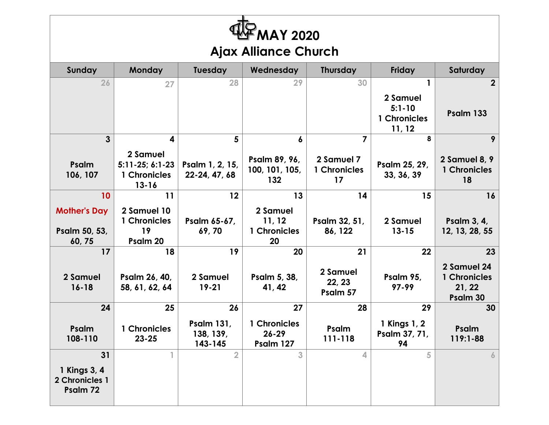| <b>MAY 2020</b><br><b>Ajax Alliance Church</b> |                                                            |                                                                      |                                          |                                  |                                                  |                                                   |  |  |  |  |
|------------------------------------------------|------------------------------------------------------------|----------------------------------------------------------------------|------------------------------------------|----------------------------------|--------------------------------------------------|---------------------------------------------------|--|--|--|--|
| Sunday                                         | <b>Monday</b>                                              | <b>Tuesday</b><br><b>Thursday</b><br>Wednesday<br>Friday<br>Saturday |                                          |                                  |                                                  |                                                   |  |  |  |  |
| 26                                             | 27                                                         | 28                                                                   | 29                                       | 30                               | 1                                                | $\mathbf{2}$                                      |  |  |  |  |
|                                                |                                                            |                                                                      |                                          |                                  | 2 Samuel<br>$5:1 - 10$<br>1 Chronicles<br>11, 12 | Psalm 133                                         |  |  |  |  |
| $\mathbf{3}$                                   | 4                                                          | 5                                                                    | 6                                        | 7                                | 8                                                | 9                                                 |  |  |  |  |
| Psalm<br>106, 107                              | 2 Samuel<br>$5:11-25; 6:1-23$<br>1 Chronicles<br>$13 - 16$ | Psalm 1, 2, 15,<br>22-24, 47, 68                                     | Psalm 89, 96,<br>100, 101, 105,<br>132   | 2 Samuel 7<br>1 Chronicles<br>17 | Psalm 25, 29,<br>33, 36, 39                      | 2 Samuel 8, 9<br>1 Chronicles<br>18               |  |  |  |  |
| 10                                             | 11                                                         | 12                                                                   | 13                                       | 14                               | 15                                               | 16                                                |  |  |  |  |
| <b>Mother's Day</b><br>Psalm 50, 53,<br>60,75  | 2 Samuel 10<br>1 Chronicles<br>19<br>Psalm 20              | Psalm 65-67,<br>69,70                                                | 2 Samuel<br>11, 12<br>1 Chronicles<br>20 | Psalm 32, 51,<br>86, 122         | 2 Samuel<br>$13 - 15$                            | Psalm 3, 4,<br>12, 13, 28, 55                     |  |  |  |  |
| 17                                             | 18                                                         | 19                                                                   | 20                                       | 21                               | 22                                               | 23                                                |  |  |  |  |
| 2 Samuel<br>$16 - 18$                          | Psalm 26, 40,<br>58, 61, 62, 64                            | 2 Samuel<br>$19 - 21$                                                | Psalm 5, 38,<br>41, 42                   | 2 Samuel<br>22, 23<br>Psalm 57   | Psalm 95,<br>97-99                               | 2 Samuel 24<br>1 Chronicles<br>21, 22<br>Psalm 30 |  |  |  |  |
| 24                                             | 25                                                         | 26                                                                   | 27                                       | 28                               | 29                                               | 30                                                |  |  |  |  |
| Psalm<br>108-110                               | <b>Chronicles</b><br>$23 - 25$                             | <b>Psalm 131,</b><br>138, 139,<br>143-145                            | 1 Chronicles<br>$26 - 29$<br>Psalm 127   | Psalm<br>111-118                 | 1 Kings 1, 2<br>Psalm 37, 71,<br>94              | Psalm<br>$119:1 - 88$                             |  |  |  |  |
| 31                                             | 1                                                          | $\overline{2}$                                                       | 3                                        | 4                                | 5                                                | 6                                                 |  |  |  |  |
| 1 Kings 3, 4<br>2 Chronicles 1<br>Psalm 72     |                                                            |                                                                      |                                          |                                  |                                                  |                                                   |  |  |  |  |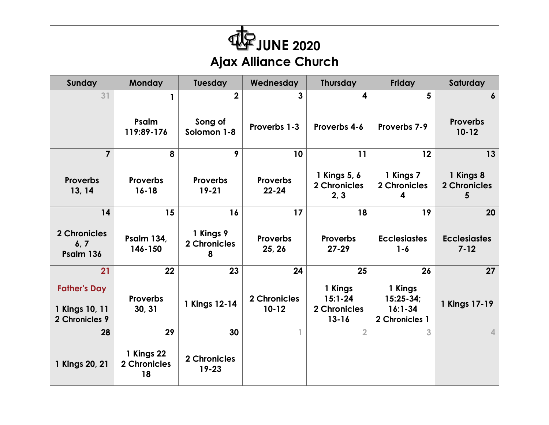| $F$ JUNE 2020<br><b>Ajax Alliance Church</b>            |                                     |                                        |                              |                                                     |                                                         |                                   |  |  |
|---------------------------------------------------------|-------------------------------------|----------------------------------------|------------------------------|-----------------------------------------------------|---------------------------------------------------------|-----------------------------------|--|--|
| <b>Sunday</b>                                           | Monday                              | Tuesday                                | Wednesday                    | <b>Thursday</b>                                     | Friday                                                  | Saturday                          |  |  |
| 31                                                      | $\mathbf{1}$<br>Psalm<br>119:89-176 | $\mathbf{2}$<br>Song of<br>Solomon 1-8 | 3<br>Proverbs 1-3            | 4<br>Proverbs 4-6                                   | 5<br>Proverbs 7-9                                       | 6<br><b>Proverbs</b><br>$10 - 12$ |  |  |
| $\overline{7}$                                          | 8                                   | 9                                      | 10                           | 11                                                  | 12                                                      | 13                                |  |  |
| <b>Proverbs</b><br>13, 14                               | <b>Proverbs</b><br>$16 - 18$        | <b>Proverbs</b><br>$19 - 21$           | <b>Proverbs</b><br>$22 - 24$ | 1 Kings 5, 6<br>2 Chronicles<br>2, 3                | 1 Kings 7<br>2 Chronicles<br>4                          | 1 Kings 8<br>2 Chronicles<br>5    |  |  |
| 14                                                      | 15                                  | 16                                     | 17                           | 18                                                  | 19                                                      | 20                                |  |  |
| 2 Chronicles<br>6, 7<br>Psalm 136                       | <b>Psalm 134,</b><br>146-150        | 1 Kings 9<br>2 Chronicles<br>8         | Proverbs<br>25, 26           | <b>Proverbs</b><br>$27 - 29$                        | <b>Ecclesiastes</b><br>$1 - 6$                          | <b>Ecclesiastes</b><br>$7 - 12$   |  |  |
| 21                                                      | 22                                  | 23                                     | 24                           | 25                                                  | 26                                                      | 27                                |  |  |
| <b>Father's Day</b><br>1 Kings 10, 11<br>2 Chronicles 9 | <b>Proverbs</b><br>30, 31           | 1 Kings 12-14                          | 2 Chronicles<br>$10 - 12$    | 1 Kings<br>$15:1 - 24$<br>2 Chronicles<br>$13 - 16$ | 1 Kings<br>$15:25-34;$<br>$16:1 - 34$<br>2 Chronicles 1 | 1 Kings 17-19                     |  |  |
| 28                                                      | 29                                  | 30                                     | Т.                           | $\overline{2}$                                      | 3                                                       | $\Delta$                          |  |  |
| 1 Kings 20, 21                                          | 1 Kings 22<br>2 Chronicles<br>18    | 2 Chronicles<br>$19 - 23$              |                              |                                                     |                                                         |                                   |  |  |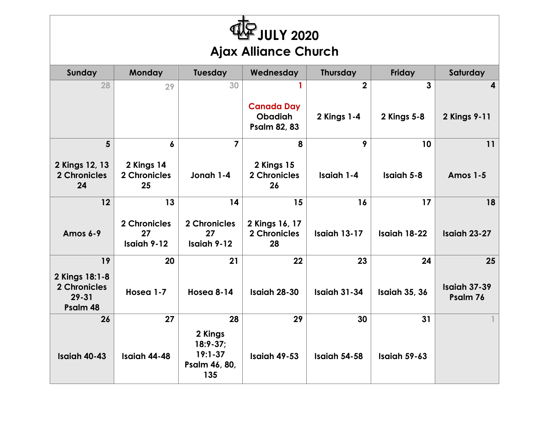| JULY 2020<br><b>Ajax Alliance Church</b>                |                                   |                                                              |                                                            |                     |                      |                          |  |  |
|---------------------------------------------------------|-----------------------------------|--------------------------------------------------------------|------------------------------------------------------------|---------------------|----------------------|--------------------------|--|--|
| Sunday                                                  | <b>Monday</b>                     | <b>Tuesday</b>                                               | Wednesday                                                  | <b>Thursday</b>     | <b>Friday</b>        | Saturday                 |  |  |
| 28                                                      | 29                                | 30                                                           |                                                            | $\overline{2}$      | $\mathbf{3}$         | 4                        |  |  |
|                                                         |                                   |                                                              | <b>Canada Day</b><br><b>Obadiah</b><br><b>Psalm 82, 83</b> | 2 Kings 1-4         | 2 Kings 5-8          | 2 Kings 9-11             |  |  |
| 5 <sup>5</sup>                                          | 6                                 | 7                                                            | 8                                                          | 9                   | 10                   | 11                       |  |  |
| 2 Kings 12, 13<br>2 Chronicles<br>24                    | 2 Kings 14<br>2 Chronicles<br>25  | Jonah 1-4                                                    | 2 Kings 15<br><b>2 Chronicles</b><br>26                    | Isaiah 1-4          | Isaiah 5-8           | <b>Amos 1-5</b>          |  |  |
| 12                                                      | 13                                | 14                                                           | 15                                                         | 16                  | 17                   | 18                       |  |  |
| Amos 6-9                                                | 2 Chronicles<br>27<br>Isaiah 9-12 | 2 Chronicles<br>27<br>Isaiah 9-12                            | 2 Kings 16, 17<br><b>2 Chronicles</b><br>28                | Isaiah 13-17        | Isaiah 18-22         | Isaiah 23-27             |  |  |
| 19                                                      | 20                                | 21                                                           | 22                                                         | 23                  | 24                   | 25                       |  |  |
| 2 Kings 18:1-8<br>2 Chronicles<br>$29 - 31$<br>Psalm 48 | Hosea 1-7                         | Hosea 8-14                                                   | Isaiah 28-30                                               | <b>Isaiah 31-34</b> | <b>Isaiah 35, 36</b> | Isaiah 37-39<br>Psalm 76 |  |  |
| 26                                                      | 27                                | 28                                                           | 29                                                         | 30                  | 31                   |                          |  |  |
| Isaiah 40-43                                            | Isaiah 44-48                      | 2 Kings<br>$18:9-37;$<br>$19:1 - 37$<br>Psalm 46, 80,<br>135 | Isaiah 49-53                                               | Isaiah 54-58        | Isaiah 59-63         |                          |  |  |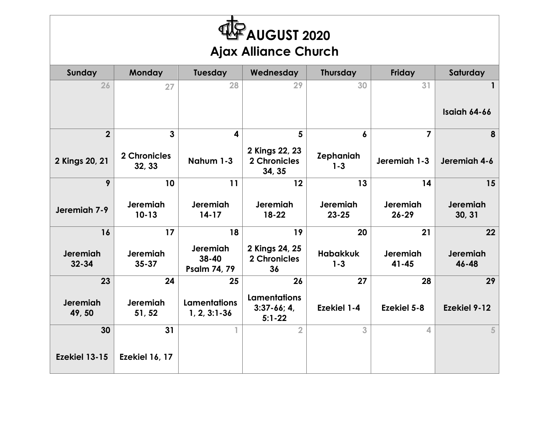| <b>HAF AUGUST 2020</b><br><b>Ajax Alliance Church</b> |                        |                                          |                                                    |                             |                       |                     |  |  |
|-------------------------------------------------------|------------------------|------------------------------------------|----------------------------------------------------|-----------------------------|-----------------------|---------------------|--|--|
| Sunday                                                | <b>Monday</b>          | <b>Tuesday</b>                           | Wednesday                                          | <b>Thursday</b>             | Friday                | Saturday            |  |  |
| 26                                                    | 27                     | 28                                       | 29                                                 | 30                          | 31                    | 1                   |  |  |
|                                                       |                        |                                          |                                                    |                             |                       | Isaiah 64-66        |  |  |
| $\overline{2}$                                        | $\overline{3}$         | $\overline{\mathbf{4}}$                  | 5                                                  | $\boldsymbol{6}$            | $\overline{7}$        | 8                   |  |  |
| 2 Kings 20, 21                                        | 2 Chronicles<br>32, 33 | Nahum 1-3                                | 2 Kings 22, 23<br>2 Chronicles<br>34, 35           | <b>Zephaniah</b><br>$1 - 3$ | Jeremiah 1-3          | Jeremiah 4-6        |  |  |
| 9                                                     | 10                     | 11                                       | 12                                                 | 13                          | 14                    | 15                  |  |  |
| Jeremiah 7-9                                          | Jeremiah<br>$10 - 13$  | <b>Jeremiah</b><br>$14 - 17$             | <b>Jeremiah</b><br>$18 - 22$                       | Jeremiah<br>$23 - 25$       | Jeremiah<br>$26 - 29$ | Jeremiah<br>30, 31  |  |  |
| 16                                                    | 17                     | 18                                       | 19                                                 | 20                          | 21                    | 22                  |  |  |
| Jeremiah<br>$32 - 34$                                 | Jeremiah<br>$35 - 37$  | Jeremiah<br>38-40<br><b>Psalm 74, 79</b> | 2 Kings 24, 25<br>2 Chronicles<br>36               | <b>Habakkuk</b><br>$1 - 3$  | Jeremiah<br>$41 - 45$ | Jeremiah<br>46-48   |  |  |
| 23                                                    | 24                     | 25                                       | 26                                                 | 27                          | 28                    | 29                  |  |  |
| Jeremiah<br>49,50                                     | Jeremiah<br>51, 52     | <b>Lamentations</b><br>$1, 2, 3:1 - 36$  | <b>Lamentations</b><br>$3:37-66; 4,$<br>$5:1 - 22$ | <b>Ezekiel 1-4</b>          | <b>Ezekiel 5-8</b>    | <b>Ezekiel 9-12</b> |  |  |
| 30                                                    | 31                     | $\mathbb{I}$                             | $\overline{2}$                                     | 3                           | 4                     | 5                   |  |  |
| Ezekiel 13-15                                         | <b>Ezekiel 16, 17</b>  |                                          |                                                    |                             |                       |                     |  |  |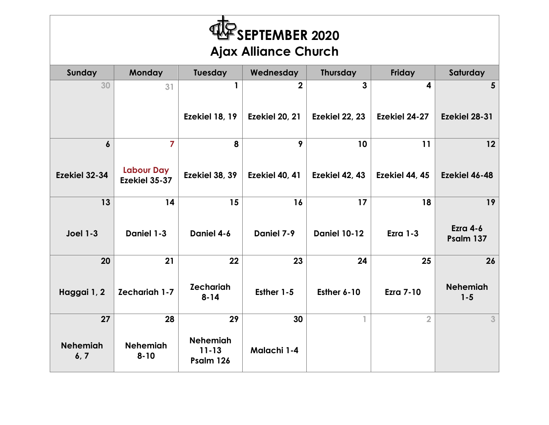| <b>WE SEPTEMBER 2020</b><br><b>Ajax Alliance Church</b> |                                     |                                           |                |                     |                  |                            |  |  |
|---------------------------------------------------------|-------------------------------------|-------------------------------------------|----------------|---------------------|------------------|----------------------------|--|--|
| Sunday                                                  | Monday                              | <b>Tuesday</b>                            | Wednesday      | <b>Thursday</b>     | Friday           | Saturday                   |  |  |
| 30                                                      | 31                                  | 1                                         | $\overline{2}$ | 3                   | 4                | 5                          |  |  |
|                                                         |                                     | Ezekiel 18, 19                            | Ezekiel 20, 21 | Ezekiel 22, 23      | Ezekiel 24-27    | Ezekiel 28-31              |  |  |
| $\boldsymbol{6}$                                        | $\overline{7}$<br><b>Labour Day</b> | 8                                         | 9              | 10                  | 11               | 12                         |  |  |
| Ezekiel 32-34                                           | Ezekiel 35-37                       | <b>Ezekiel 38, 39</b>                     | Ezekiel 40, 41 | Ezekiel 42, 43      | Ezekiel 44, 45   | Ezekiel 46-48              |  |  |
| 13                                                      | 14                                  | 15                                        | 16             | 17                  | 18               | 19                         |  |  |
| <b>Joel 1-3</b>                                         | Daniel 1-3                          | Daniel 4-6                                | Daniel 7-9     | <b>Daniel 10-12</b> | <b>Ezra 1-3</b>  | Ezra 4-6<br>Psalm 137      |  |  |
| 20                                                      | 21                                  | 22                                        | 23             | 24                  | 25               | 26                         |  |  |
| Haggai 1, 2                                             | <b>Zechariah 1-7</b>                | <b>Zechariah</b><br>$8 - 14$              | Esther 1-5     | Esther 6-10         | <b>Ezra 7-10</b> | <b>Nehemiah</b><br>$1 - 5$ |  |  |
| 27                                                      | 28                                  | 29                                        | 30             | $\mathbb{I}$        | $\overline{2}$   | 3                          |  |  |
| <b>Nehemiah</b><br>6, 7                                 | <b>Nehemiah</b><br>$8 - 10$         | <b>Nehemiah</b><br>$11 - 13$<br>Psalm 126 | Malachi 1-4    |                     |                  |                            |  |  |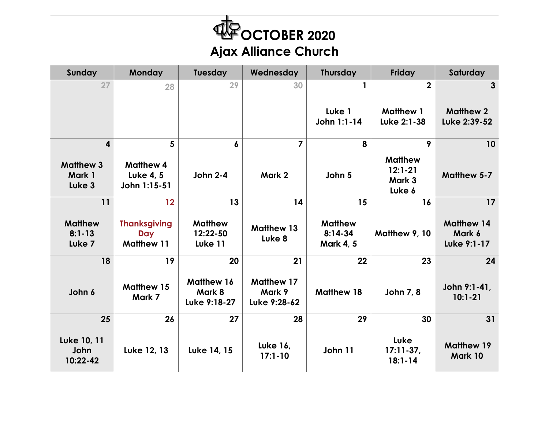| <b>FOCTOBER 2020</b><br><b>Ajax Alliance Church</b> |                                                        |                                       |                                             |                                                 |                                                   |                                            |  |  |
|-----------------------------------------------------|--------------------------------------------------------|---------------------------------------|---------------------------------------------|-------------------------------------------------|---------------------------------------------------|--------------------------------------------|--|--|
| Sunday                                              | Monday                                                 | <b>Tuesday</b>                        | Wednesday                                   | <b>Thursday</b>                                 | Friday                                            | Saturday                                   |  |  |
| 27                                                  | 28                                                     | 29                                    | 30                                          | $\mathbf{1}$<br>Luke 1                          | $\overline{2}$<br><b>Matthew 1</b>                | 3<br><b>Matthew 2</b>                      |  |  |
|                                                     |                                                        |                                       |                                             | John 1:1-14                                     | Luke 2:1-38                                       | Luke 2:39-52                               |  |  |
| $\overline{\mathbf{4}}$                             | 5                                                      | 6                                     | $\overline{7}$                              | 8                                               | 9                                                 | 10                                         |  |  |
| <b>Matthew 3</b><br>Mark 1<br>Luke 3                | <b>Matthew 4</b><br><b>Luke 4, 5</b><br>John 1:15-51   | <b>John 2-4</b>                       | Mark 2                                      | John 5                                          | <b>Matthew</b><br>$12:1 - 21$<br>Mark 3<br>Luke 6 | <b>Matthew 5-7</b>                         |  |  |
| 11                                                  | 12                                                     | 13                                    | 14                                          | 15                                              | 16                                                | 17                                         |  |  |
| <b>Matthew</b><br>$8:1 - 13$<br>Luke <sub>7</sub>   | <b>Thanksgiving</b><br><b>Day</b><br><b>Matthew 11</b> | <b>Matthew</b><br>12:22-50<br>Luke 11 | <b>Matthew 13</b><br>Luke <sub>8</sub>      | <b>Matthew</b><br>$8:14-34$<br><b>Mark 4, 5</b> | Matthew 9, 10                                     | <b>Matthew 14</b><br>Mark 6<br>Luke 9:1-17 |  |  |
| 18                                                  | 19                                                     | 20                                    | 21                                          | 22                                              | 23                                                | 24                                         |  |  |
| John 6                                              | <b>Matthew 15</b><br>Mark 7                            | Matthew 16<br>Mark 8<br>Luke 9:18-27  | <b>Matthew 17</b><br>Mark 9<br>Luke 9:28-62 | <b>Matthew 18</b>                               | John 7, 8                                         | John 9:1-41,<br>$10:1 - 21$                |  |  |
| 25                                                  | 26                                                     | 27                                    | 28                                          | 29                                              | 30                                                | 31                                         |  |  |
| Luke 10, 11<br>John<br>10:22-42                     | Luke 12, 13                                            | Luke 14, 15                           | <b>Luke 16,</b><br>$17:1 - 10$              | John 11                                         | Luke<br>$17:11-37$ ,<br>$18:1 - 14$               | <b>Matthew 19</b><br>Mark 10               |  |  |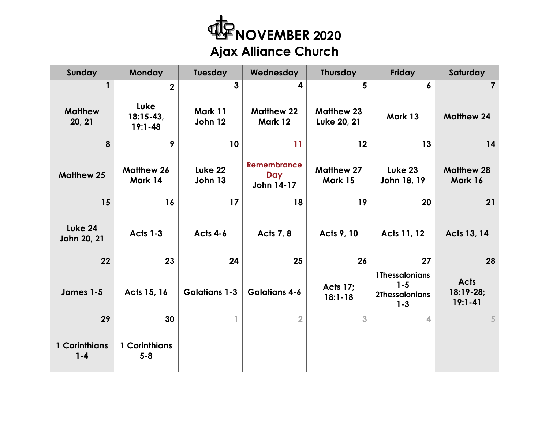| FNOVEMBER 2020<br><b>Ajax Alliance Church</b> |                                    |                      |                                                |                                  |                                                                      |                                         |  |  |
|-----------------------------------------------|------------------------------------|----------------------|------------------------------------------------|----------------------------------|----------------------------------------------------------------------|-----------------------------------------|--|--|
| Sunday                                        | Monday                             | <b>Tuesday</b>       | Wednesday                                      | <b>Thursday</b>                  | Friday                                                               | Saturday                                |  |  |
| $\mathbf{1}$                                  | $\mathbf 2$                        | 3                    | 4                                              | 5                                | 6                                                                    | $\overline{7}$                          |  |  |
| <b>Matthew</b><br>20, 21                      | Luke<br>$18:15-43,$<br>$19:1 - 48$ | Mark 11<br>John 12   | <b>Matthew 22</b><br>Mark 12                   | <b>Matthew 23</b><br>Luke 20, 21 | Mark 13                                                              | <b>Matthew 24</b>                       |  |  |
| 8                                             | 9                                  | 10                   | 11                                             | 12                               | 13                                                                   | 14                                      |  |  |
| <b>Matthew 25</b>                             | <b>Matthew 26</b><br>Mark 14       | Luke 22<br>John 13   | <b>Remembrance</b><br><b>Day</b><br>John 14-17 | <b>Matthew 27</b><br>Mark 15     | Luke 23<br>John 18, 19                                               | <b>Matthew 28</b><br>Mark 16            |  |  |
| 15                                            | 16                                 | 17                   | 18                                             | 19                               | 20                                                                   | 21                                      |  |  |
| Luke 24<br>John 20, 21                        | <b>Acts 1-3</b>                    | <b>Acts 4-6</b>      | Acts 7, 8                                      | Acts 9, 10                       | Acts 11, 12                                                          | Acts 13, 14                             |  |  |
| 22                                            | 23                                 | 24                   | 25                                             | 26                               | 27                                                                   | 28                                      |  |  |
| James 1-5                                     | Acts 15, 16                        | <b>Galatians 1-3</b> | <b>Galatians 4-6</b>                           | <b>Acts 17;</b><br>$18:1 - 18$   | <b>1Thessalonians</b><br>$1 - 5$<br><b>2Thessalonians</b><br>$1 - 3$ | <b>Acts</b><br>18:19-28;<br>$19:1 - 41$ |  |  |
| 29                                            | 30                                 | 1                    | $\overline{2}$                                 | 3                                | 4                                                                    | 5                                       |  |  |
| 1 Corinthians<br>$1 - 4$                      | 1 Corinthians<br>$5 - 8$           |                      |                                                |                                  |                                                                      |                                         |  |  |